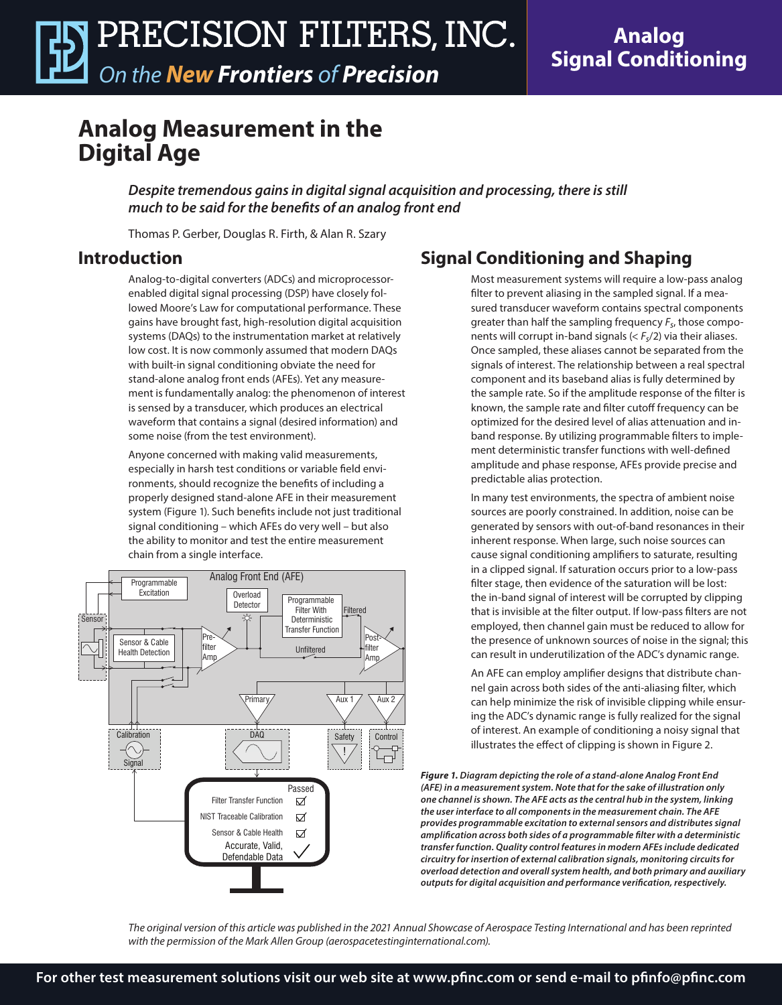**Analog Signal Conditioning**

## **Analog Measurement in the Digital Age**

*Despite tremendous gains in digital signal acquisition and processing, there is still much to be said for the benefits of an analog front end* 

Thomas P. Gerber, Douglas R. Firth, & Alan R. Szary

#### **Introduction**

Analog-to-digital converters (ADCs) and microprocessorenabled digital signal processing (DSP) have closely followed Moore's Law for computational performance. These gains have brought fast, high-resolution digital acquisition systems (DAQs) to the instrumentation market at relatively low cost. It is now commonly assumed that modern DAQs with built-in signal conditioning obviate the need for stand-alone analog front ends (AFEs). Yet any measurement is fundamentally analog: the phenomenon of interest is sensed by a transducer, which produces an electrical waveform that contains a signal (desired information) and some noise (from the test environment).

Anyone concerned with making valid measurements, especially in harsh test conditions or variable field environments, should recognize the benefits of including a properly designed stand-alone AFE in their measurement system (Figure 1). Such benefits include not just traditional signal conditioning – which AFEs do very well – but also the ability to monitor and test the entire measurement chain from a single interface.



### **Signal Conditioning and Shaping**

Most measurement systems will require a low-pass analog filter to prevent aliasing in the sampled signal. If a measured transducer waveform contains spectral components greater than half the sampling frequency *Fs*, those components will corrupt in-band signals (< *Fs*/2) via their aliases. Once sampled, these aliases cannot be separated from the signals of interest. The relationship between a real spectral component and its baseband alias is fully determined by the sample rate. So if the amplitude response of the filter is known, the sample rate and filter cutoff frequency can be optimized for the desired level of alias attenuation and inband response. By utilizing programmable filters to implement deterministic transfer functions with well-defined amplitude and phase response, AFEs provide precise and predictable alias protection.

In many test environments, the spectra of ambient noise sources are poorly constrained. In addition, noise can be generated by sensors with out-of-band resonances in their inherent response. When large, such noise sources can cause signal conditioning amplifiers to saturate, resulting in a clipped signal. If saturation occurs prior to a low-pass filter stage, then evidence of the saturation will be lost: the in-band signal of interest will be corrupted by clipping that is invisible at the filter output. If low-pass filters are not employed, then channel gain must be reduced to allow for the presence of unknown sources of noise in the signal; this can result in underutilization of the ADC's dynamic range.

An AFE can employ amplifier designs that distribute channel gain across both sides of the anti-aliasing filter, which can help minimize the risk of invisible clipping while ensuring the ADC's dynamic range is fully realized for the signal of interest. An example of conditioning a noisy signal that illustrates the effect of clipping is shown in Figure 2.

*Figure 1. Diagram depicting the role of a stand-alone Analog Front End (AFE) in a measurement system. Note that for the sake of illustration only one channel is shown. The AFE acts as the central hub in the system, linking the user interface to all components in the measurement chain. The AFE provides programmable excitation to external sensors and distributes signal amplification across both sides of a programmable filter with a deterministic transfer function. Quality control features in modern AFEs include dedicated circuitry for insertion of external calibration signals, monitoring circuits for overload detection and overall system health, and both primary and auxiliary outputs for digital acquisition and performance verification, respectively.* 

*The original version of this article was published in the 2021 Annual Showcase of Aerospace Testing International and has been reprinted with the permission of the Mark Allen Group (aerospacetestinginternational.com).*